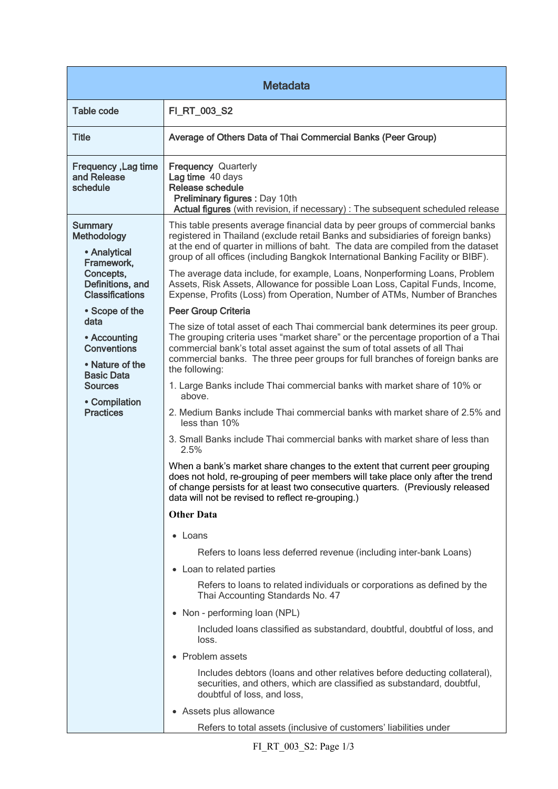| <b>Metadata</b>                                                                                                                           |                                                                                                                                                                                                                                                                                                                                                      |  |
|-------------------------------------------------------------------------------------------------------------------------------------------|------------------------------------------------------------------------------------------------------------------------------------------------------------------------------------------------------------------------------------------------------------------------------------------------------------------------------------------------------|--|
| <b>Table code</b>                                                                                                                         | FI_RT_003_S2                                                                                                                                                                                                                                                                                                                                         |  |
| <b>Title</b>                                                                                                                              | Average of Others Data of Thai Commercial Banks (Peer Group)                                                                                                                                                                                                                                                                                         |  |
| Frequency, Lag time<br>and Release<br>schedule                                                                                            | <b>Frequency Quarterly</b><br>Lag time 40 days<br><b>Release schedule</b><br>Preliminary figures : Day 10th<br>Actual figures (with revision, if necessary) : The subsequent scheduled release                                                                                                                                                       |  |
| <b>Summary</b><br><b>Methodology</b><br>• Analytical<br>Framework,<br>Concepts,<br>Definitions, and<br><b>Classifications</b>             | This table presents average financial data by peer groups of commercial banks<br>registered in Thailand (exclude retail Banks and subsidiaries of foreign banks)<br>at the end of quarter in millions of baht. The data are compiled from the dataset<br>group of all offices (including Bangkok International Banking Facility or BIBF).            |  |
|                                                                                                                                           | The average data include, for example, Loans, Nonperforming Loans, Problem<br>Assets, Risk Assets, Allowance for possible Loan Loss, Capital Funds, Income,<br>Expense, Profits (Loss) from Operation, Number of ATMs, Number of Branches                                                                                                            |  |
| • Scope of the                                                                                                                            | Peer Group Criteria                                                                                                                                                                                                                                                                                                                                  |  |
| data<br>• Accounting<br><b>Conventions</b><br>• Nature of the<br><b>Basic Data</b><br><b>Sources</b><br>• Compilation<br><b>Practices</b> | The size of total asset of each Thai commercial bank determines its peer group.<br>The grouping criteria uses "market share" or the percentage proportion of a Thai<br>commercial bank's total asset against the sum of total assets of all Thai<br>commercial banks. The three peer groups for full branches of foreign banks are<br>the following: |  |
|                                                                                                                                           | 1. Large Banks include Thai commercial banks with market share of 10% or<br>above.                                                                                                                                                                                                                                                                   |  |
|                                                                                                                                           | 2. Medium Banks include Thai commercial banks with market share of 2.5% and<br>less than 10%                                                                                                                                                                                                                                                         |  |
|                                                                                                                                           | 3. Small Banks include Thai commercial banks with market share of less than<br>2.5%                                                                                                                                                                                                                                                                  |  |
|                                                                                                                                           | When a bank's market share changes to the extent that current peer grouping<br>does not hold, re-grouping of peer members will take place only after the trend<br>of change persists for at least two consecutive quarters. (Previously released<br>data will not be revised to reflect re-grouping.)                                                |  |
|                                                                                                                                           | <b>Other Data</b>                                                                                                                                                                                                                                                                                                                                    |  |
|                                                                                                                                           | • Loans                                                                                                                                                                                                                                                                                                                                              |  |
|                                                                                                                                           | Refers to loans less deferred revenue (including inter-bank Loans)                                                                                                                                                                                                                                                                                   |  |
|                                                                                                                                           | • Loan to related parties                                                                                                                                                                                                                                                                                                                            |  |
|                                                                                                                                           | Refers to loans to related individuals or corporations as defined by the<br>Thai Accounting Standards No. 47                                                                                                                                                                                                                                         |  |
|                                                                                                                                           | • Non - performing loan (NPL)                                                                                                                                                                                                                                                                                                                        |  |
|                                                                                                                                           | Included loans classified as substandard, doubtful, doubtful of loss, and<br>loss.                                                                                                                                                                                                                                                                   |  |
|                                                                                                                                           | • Problem assets                                                                                                                                                                                                                                                                                                                                     |  |
|                                                                                                                                           | Includes debtors (loans and other relatives before deducting collateral),<br>securities, and others, which are classified as substandard, doubtful,<br>doubtful of loss, and loss,                                                                                                                                                                   |  |
|                                                                                                                                           | • Assets plus allowance                                                                                                                                                                                                                                                                                                                              |  |
|                                                                                                                                           | Refers to total assets (inclusive of customers' liabilities under                                                                                                                                                                                                                                                                                    |  |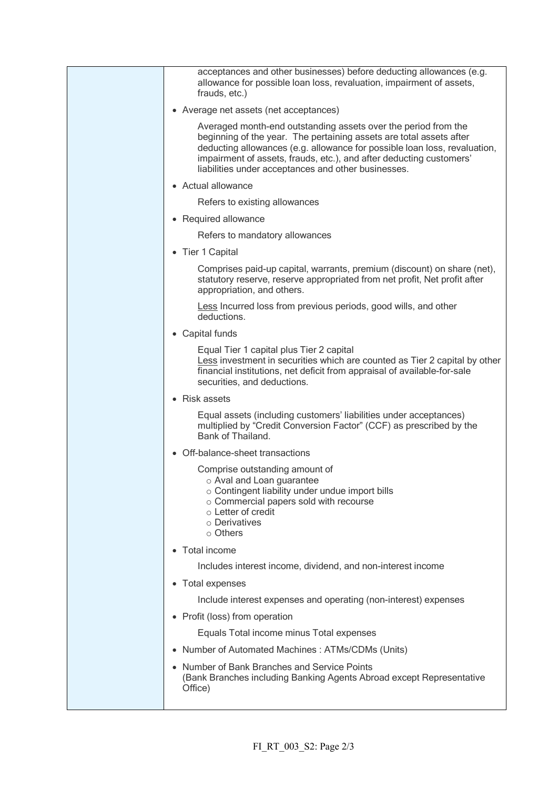| acceptances and other businesses) before deducting allowances (e.g.<br>allowance for possible loan loss, revaluation, impairment of assets,<br>frauds, etc.)                                                                                                                                                                                     |
|--------------------------------------------------------------------------------------------------------------------------------------------------------------------------------------------------------------------------------------------------------------------------------------------------------------------------------------------------|
| • Average net assets (net acceptances)                                                                                                                                                                                                                                                                                                           |
| Averaged month-end outstanding assets over the period from the<br>beginning of the year. The pertaining assets are total assets after<br>deducting allowances (e.g. allowance for possible loan loss, revaluation,<br>impairment of assets, frauds, etc.), and after deducting customers'<br>liabilities under acceptances and other businesses. |
| • Actual allowance                                                                                                                                                                                                                                                                                                                               |
| Refers to existing allowances                                                                                                                                                                                                                                                                                                                    |
| • Required allowance                                                                                                                                                                                                                                                                                                                             |
| Refers to mandatory allowances                                                                                                                                                                                                                                                                                                                   |
| • Tier 1 Capital                                                                                                                                                                                                                                                                                                                                 |
| Comprises paid-up capital, warrants, premium (discount) on share (net),<br>statutory reserve, reserve appropriated from net profit, Net profit after<br>appropriation, and others.                                                                                                                                                               |
| Less Incurred loss from previous periods, good wills, and other<br>deductions.                                                                                                                                                                                                                                                                   |
| • Capital funds                                                                                                                                                                                                                                                                                                                                  |
| Equal Tier 1 capital plus Tier 2 capital<br>Less investment in securities which are counted as Tier 2 capital by other<br>financial institutions, net deficit from appraisal of available-for-sale<br>securities, and deductions.                                                                                                                |
| <b>Risk assets</b><br>$\bullet$                                                                                                                                                                                                                                                                                                                  |
| Equal assets (including customers' liabilities under acceptances)<br>multiplied by "Credit Conversion Factor" (CCF) as prescribed by the<br>Bank of Thailand.                                                                                                                                                                                    |
| Off-balance-sheet transactions<br>$\bullet$                                                                                                                                                                                                                                                                                                      |
| Comprise outstanding amount of<br>o Aval and Loan guarantee<br>o Contingent liability under undue import bills<br>o Commercial papers sold with recourse<br>o Letter of credit<br>o Derivatives<br>○ Others                                                                                                                                      |
| Total income<br>$\bullet$                                                                                                                                                                                                                                                                                                                        |
| Includes interest income, dividend, and non-interest income                                                                                                                                                                                                                                                                                      |
| <b>Total expenses</b><br>$\bullet$                                                                                                                                                                                                                                                                                                               |
| Include interest expenses and operating (non-interest) expenses                                                                                                                                                                                                                                                                                  |
| Profit (loss) from operation<br>$\bullet$                                                                                                                                                                                                                                                                                                        |
| Equals Total income minus Total expenses                                                                                                                                                                                                                                                                                                         |
| Number of Automated Machines: ATMs/CDMs (Units)<br>$\bullet$                                                                                                                                                                                                                                                                                     |
| • Number of Bank Branches and Service Points<br>(Bank Branches including Banking Agents Abroad except Representative<br>Office)                                                                                                                                                                                                                  |
|                                                                                                                                                                                                                                                                                                                                                  |